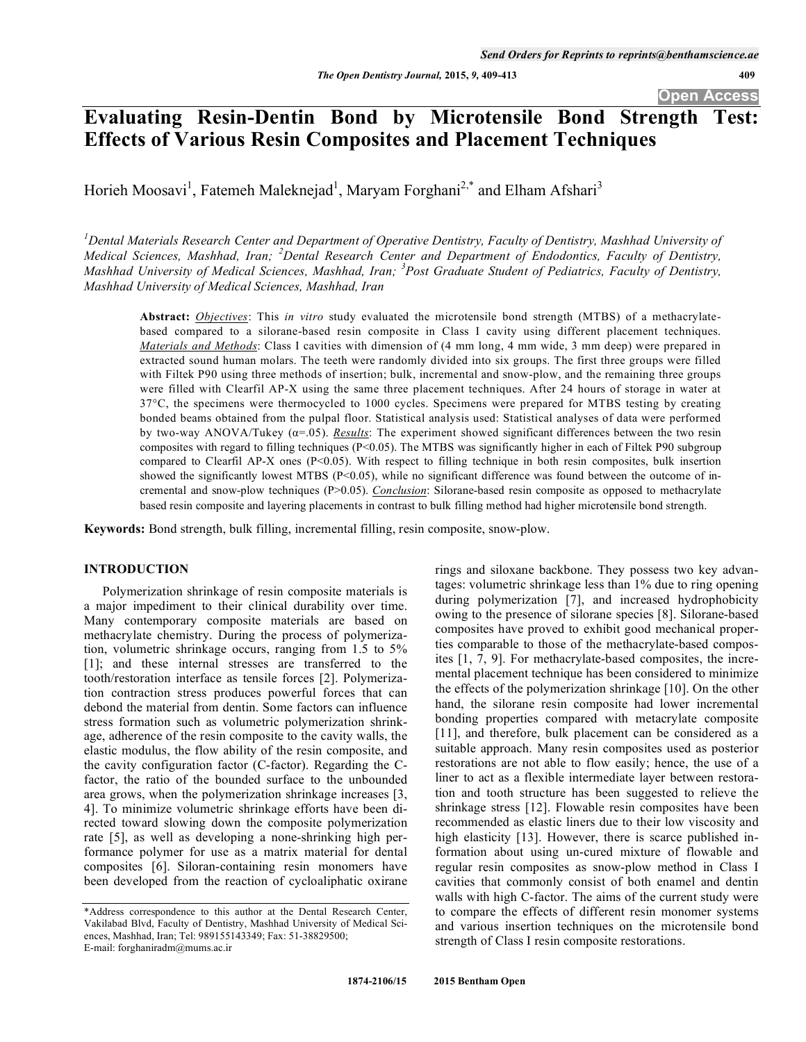# **Evaluating Resin-Dentin Bond by Microtensile Bond Strength Test: Effects of Various Resin Composites and Placement Techniques**

Horieh Moosavi<sup>1</sup>, Fatemeh Maleknejad<sup>1</sup>, Maryam Forghani<sup>2,\*</sup> and Elham Afshari<sup>3</sup>

<sup>1</sup> Dental Materials Research Center and Department of Operative Dentistry, Faculty of Dentistry, Mashhad University of Medical Sciences, Mashhad, Iran; <sup>2</sup>Dental Research Center and Department of Endodontics, Faculty of Dentistry, *Mashhad University of Medical Sciences, Mashhad, Iran; <sup>3</sup> Post Graduate Student of Pediatrics, Faculty of Dentistry, Mashhad University of Medical Sciences, Mashhad, Iran* 

**Abstract:** *Objectives*: This *in vitro* study evaluated the microtensile bond strength (MTBS) of a methacrylatebased compared to a silorane-based resin composite in Class I cavity using different placement techniques. *Materials and Methods*: Class I cavities with dimension of (4 mm long, 4 mm wide, 3 mm deep) were prepared in extracted sound human molars. The teeth were randomly divided into six groups. The first three groups were filled with Filtek P90 using three methods of insertion; bulk, incremental and snow-plow, and the remaining three groups were filled with Clearfil AP-X using the same three placement techniques. After 24 hours of storage in water at 37°C, the specimens were thermocycled to 1000 cycles. Specimens were prepared for MTBS testing by creating bonded beams obtained from the pulpal floor. Statistical analysis used: Statistical analyses of data were performed by two-way ANOVA/Tukey  $(a=0.05)$ . *Results*: The experiment showed significant differences between the two resin composites with regard to filling techniques (P<0.05). The MTBS was significantly higher in each of Filtek P90 subgroup compared to Clearfil AP-X ones (P<0.05). With respect to filling technique in both resin composites, bulk insertion showed the significantly lowest MTBS (P<0.05), while no significant difference was found between the outcome of incremental and snow-plow techniques (P>0.05). *Conclusion*: Silorane-based resin composite as opposed to methacrylate based resin composite and layering placements in contrast to bulk filling method had higher microtensile bond strength.

**Keywords:** Bond strength, bulk filling, incremental filling, resin composite, snow-plow.

### **INTRODUCTION**

Polymerization shrinkage of resin composite materials is a major impediment to their clinical durability over time. Many contemporary composite materials are based on methacrylate chemistry. During the process of polymerization, volumetric shrinkage occurs, ranging from 1.5 to 5% [1]; and these internal stresses are transferred to the tooth/restoration interface as tensile forces [2]. Polymerization contraction stress produces powerful forces that can debond the material from dentin. Some factors can influence stress formation such as volumetric polymerization shrinkage, adherence of the resin composite to the cavity walls, the elastic modulus, the flow ability of the resin composite, and the cavity configuration factor (C-factor). Regarding the Cfactor, the ratio of the bounded surface to the unbounded area grows, when the polymerization shrinkage increases [3, 4]. To minimize volumetric shrinkage efforts have been directed toward slowing down the composite polymerization rate [5], as well as developing a none-shrinking high performance polymer for use as a matrix material for dental composites [6]. Siloran-containing resin monomers have been developed from the reaction of cycloaliphatic oxirane rings and siloxane backbone. They possess two key advantages: volumetric shrinkage less than 1% due to ring opening during polymerization [7], and increased hydrophobicity owing to the presence of silorane species [8]. Silorane-based composites have proved to exhibit good mechanical properties comparable to those of the methacrylate-based composites [1, 7, 9]. For methacrylate-based composites, the incremental placement technique has been considered to minimize the effects of the polymerization shrinkage [10]. On the other hand, the silorane resin composite had lower incremental bonding properties compared with metacrylate composite [11], and therefore, bulk placement can be considered as a suitable approach. Many resin composites used as posterior restorations are not able to flow easily; hence, the use of a liner to act as a flexible intermediate layer between restoration and tooth structure has been suggested to relieve the shrinkage stress [12]. Flowable resin composites have been recommended as elastic liners due to their low viscosity and high elasticity [13]. However, there is scarce published information about using un-cured mixture of flowable and regular resin composites as snow-plow method in Class I cavities that commonly consist of both enamel and dentin walls with high C-factor. The aims of the current study were to compare the effects of different resin monomer systems and various insertion techniques on the microtensile bond strength of Class I resin composite restorations.

<sup>\*</sup>Address correspondence to this author at the Dental Research Center, Vakilabad Blvd, Faculty of Dentistry, Mashhad University of Medical Sciences, Mashhad, Iran; Tel: 989155143349; Fax: 51-38829500; E-mail: forghaniradm@mums.ac.ir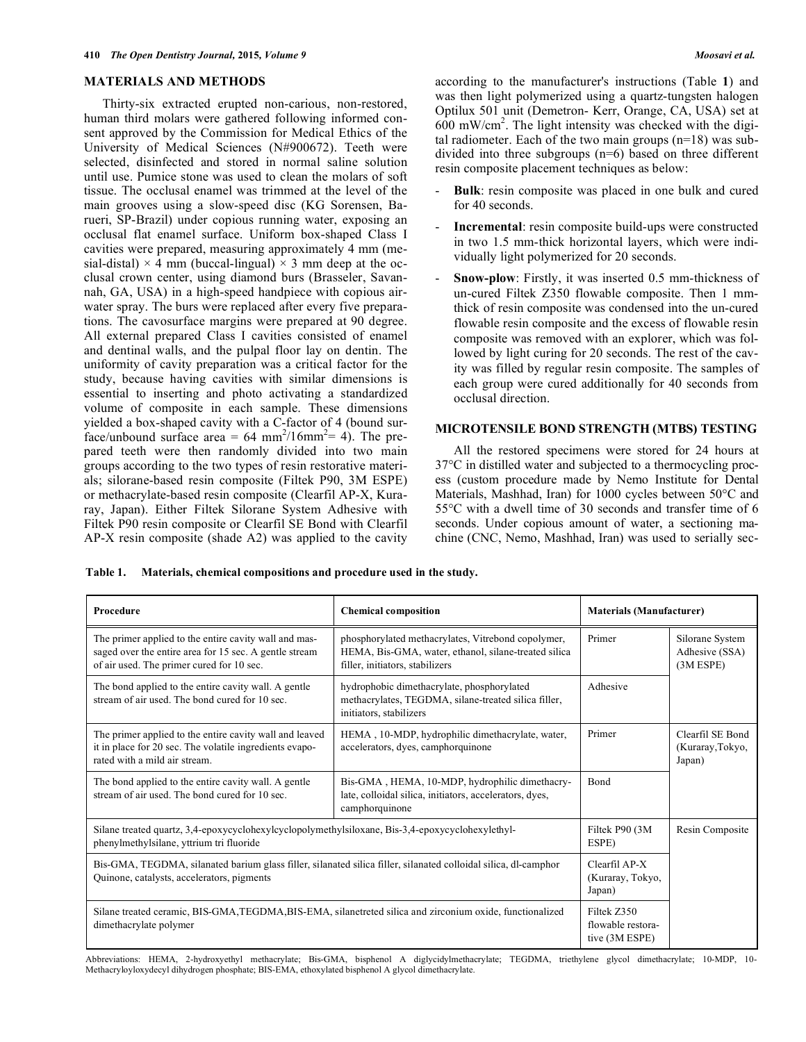### **MATERIALS AND METHODS**

Thirty-six extracted erupted non-carious, non-restored, human third molars were gathered following informed consent approved by the Commission for Medical Ethics of the University of Medical Sciences (N#900672). Teeth were selected, disinfected and stored in normal saline solution until use. Pumice stone was used to clean the molars of soft tissue. The occlusal enamel was trimmed at the level of the main grooves using a slow-speed disc (KG Sorensen, Barueri, SP-Brazil) under copious running water, exposing an occlusal flat enamel surface. Uniform box-shaped Class I cavities were prepared, measuring approximately 4 mm (mesial-distal)  $\times$  4 mm (buccal-lingual)  $\times$  3 mm deep at the occlusal crown center, using diamond burs (Brasseler, Savannah, GA, USA) in a high-speed handpiece with copious airwater spray. The burs were replaced after every five preparations. The cavosurface margins were prepared at 90 degree. All external prepared Class I cavities consisted of enamel and dentinal walls, and the pulpal floor lay on dentin. The uniformity of cavity preparation was a critical factor for the study, because having cavities with similar dimensions is essential to inserting and photo activating a standardized volume of composite in each sample. These dimensions yielded a box-shaped cavity with a C-factor of 4 (bound surface/unbound surface area =  $64 \text{ mm}^2/16 \text{mm}^2$  = 4). The prepared teeth were then randomly divided into two main groups according to the two types of resin restorative materials; silorane-based resin composite (Filtek P90, 3M ESPE) or methacrylate-based resin composite (Clearfil AP-X, Kuraray, Japan). Either Filtek Silorane System Adhesive with Filtek P90 resin composite or Clearfil SE Bond with Clearfil AP-X resin composite (shade A2) was applied to the cavity

according to the manufacturer's instructions (Table **1**) and was then light polymerized using a quartz-tungsten halogen Optilux 501 unit (Demetron- Kerr, Orange, CA, USA) set at 600 mW/cm<sup>2</sup> . The light intensity was checked with the digital radiometer. Each of the two main groups (n=18) was subdivided into three subgroups (n=6) based on three different resin composite placement techniques as below:

- **Bulk**: resin composite was placed in one bulk and cured for 40 seconds.
- **Incremental**: resin composite build-ups were constructed in two 1.5 mm-thick horizontal layers, which were individually light polymerized for 20 seconds.
- **Snow-plow**: Firstly, it was inserted 0.5 mm-thickness of un-cured Filtek Z350 flowable composite. Then 1 mmthick of resin composite was condensed into the un-cured flowable resin composite and the excess of flowable resin composite was removed with an explorer, which was followed by light curing for 20 seconds. The rest of the cavity was filled by regular resin composite. The samples of each group were cured additionally for 40 seconds from occlusal direction.

#### **MICROTENSILE BOND STRENGTH (MTBS) TESTING**

All the restored specimens were stored for 24 hours at 37°C in distilled water and subjected to a thermocycling process (custom procedure made by Nemo Institute for Dental Materials, Mashhad, Iran) for 1000 cycles between 50°C and 55°C with a dwell time of 30 seconds and transfer time of 6 seconds. Under copious amount of water, a sectioning machine (CNC, Nemo, Mashhad, Iran) was used to serially sec-

**Table 1. Materials, chemical compositions and procedure used in the study.** 

| Procedure                                                                                                                                                     | <b>Chemical composition</b>                                                                                                                   | <b>Materials (Manufacturer)</b> |                                                  |
|---------------------------------------------------------------------------------------------------------------------------------------------------------------|-----------------------------------------------------------------------------------------------------------------------------------------------|---------------------------------|--------------------------------------------------|
| The primer applied to the entire cavity wall and mas-<br>saged over the entire area for 15 sec. A gentle stream<br>of air used. The primer cured for 10 sec.  | phosphorylated methacrylates, Vitrebond copolymer,<br>HEMA, Bis-GMA, water, ethanol, silane-treated silica<br>filler, initiators, stabilizers | Primer                          | Silorane System<br>Adhesive (SSA)<br>$(3M$ ESPE) |
| The bond applied to the entire cavity wall. A gentle<br>stream of air used. The bond cured for 10 sec.                                                        | hydrophobic dimethacrylate, phosphorylated<br>methacrylates, TEGDMA, silane-treated silica filler,<br>initiators, stabilizers                 | Adhesive                        |                                                  |
| The primer applied to the entire cavity wall and leaved<br>it in place for 20 sec. The volatile ingredients evapo-<br>rated with a mild air stream.           | Primer<br>HEMA, 10-MDP, hydrophilic dimethacrylate, water,<br>accelerators, dyes, camphorquinone                                              |                                 | Clearfil SE Bond<br>(Kuraray, Tokyo,<br>Japan)   |
| The bond applied to the entire cavity wall. A gentle<br>stream of air used. The bond cured for 10 sec.                                                        | Bis-GMA, HEMA, 10-MDP, hydrophilic dimethacry-<br>late, colloidal silica, initiators, accelerators, dyes,<br>camphorquinone                   | <b>B</b> ond                    |                                                  |
| Silane treated quartz, 3,4-epoxycyclohexylcyclopolymethylsiloxane, Bis-3,4-epoxycyclohexylethyl-<br>phenylmethylsilane, yttrium tri fluoride                  | Filtek P90 (3M<br>ESPE)                                                                                                                       | Resin Composite                 |                                                  |
| Bis-GMA, TEGDMA, silanated barium glass filler, silanated silica filler, silanated colloidal silica, dl-camphor<br>Quinone, catalysts, accelerators, pigments | Clearfil AP-X<br>(Kuraray, Tokyo,<br>Japan)                                                                                                   |                                 |                                                  |
| Silane treated ceramic, BIS-GMA,TEGDMA,BIS-EMA, silanetreted silica and zirconium oxide, functionalized<br>dimethacrylate polymer                             | Filtek Z350<br>flowable restora-<br>tive (3M ESPE)                                                                                            |                                 |                                                  |

Abbreviations: HEMA, 2-hydroxyethyl methacrylate; Bis-GMA, bisphenol A diglycidylmethacrylate; TEGDMA, triethylene glycol dimethacrylate; 10-MDP, 10- Methacryloyloxydecyl dihydrogen phosphate; BIS-EMA, ethoxylated bisphenol A glycol dimethacrylate.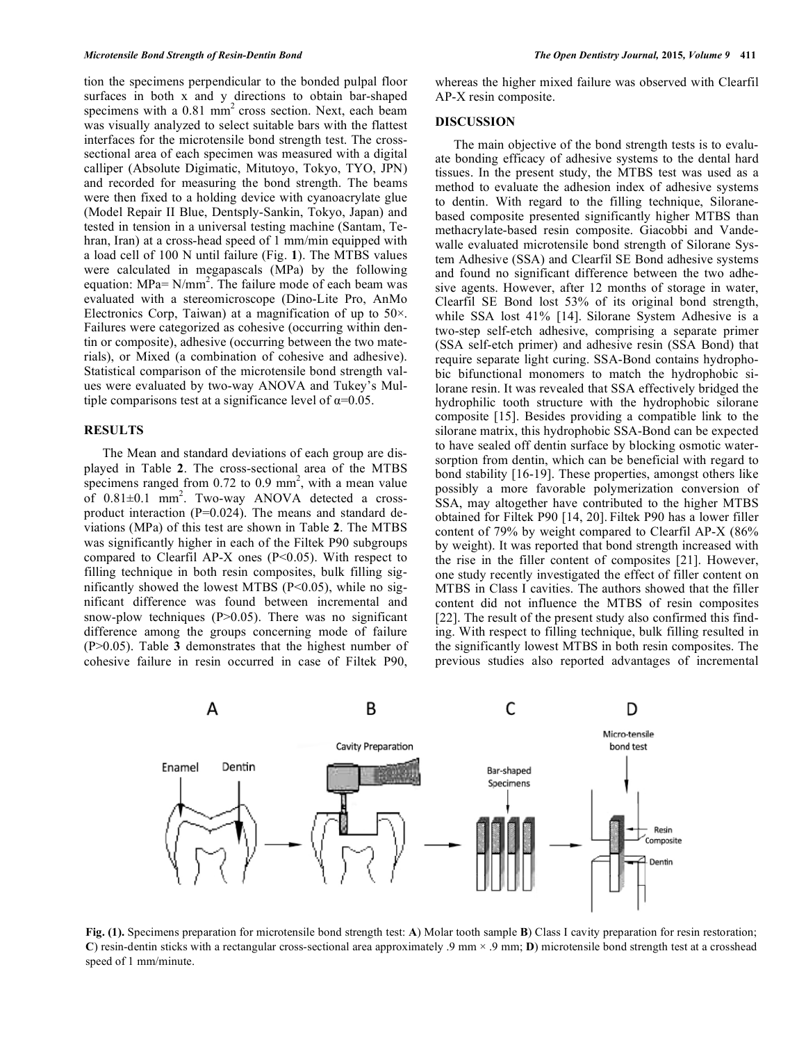tion the specimens perpendicular to the bonded pulpal floor surfaces in both x and y directions to obtain bar-shaped specimens with a 0.81 mm<sup>2</sup> cross section. Next, each beam was visually analyzed to select suitable bars with the flattest interfaces for the microtensile bond strength test. The crosssectional area of each specimen was measured with a digital calliper (Absolute Digimatic, Mitutoyo, Tokyo, TYO, JPN) and recorded for measuring the bond strength. The beams were then fixed to a holding device with cyanoacrylate glue (Model Repair II Blue, Dentsply-Sankin, Tokyo, Japan) and tested in tension in a universal testing machine (Santam, Tehran, Iran) at a cross-head speed of 1 mm/min equipped with a load cell of 100 N until failure (Fig. **1**). The MTBS values were calculated in megapascals (MPa) by the following equation: MPa=  $N/mm^2$ . The failure mode of each beam was evaluated with a stereomicroscope (Dino-Lite Pro, AnMo Electronics Corp, Taiwan) at a magnification of up to  $50<sup>\times</sup>$ . Failures were categorized as cohesive (occurring within dentin or composite), adhesive (occurring between the two materials), or Mixed (a combination of cohesive and adhesive). Statistical comparison of the microtensile bond strength values were evaluated by two-way ANOVA and Tukey's Multiple comparisons test at a significance level of  $\alpha = 0.05$ .

## **RESULTS**

The Mean and standard deviations of each group are displayed in Table **2**. The cross-sectional area of the MTBS specimens ranged from  $0.72$  to  $0.9$  mm<sup>2</sup>, with a mean value of  $0.81 \pm 0.1$  mm<sup>2</sup>. Two-way ANOVA detected a crossproduct interaction (P=0.024). The means and standard deviations (MPa) of this test are shown in Table **2**. The MTBS was significantly higher in each of the Filtek P90 subgroups compared to Clearfil AP-X ones  $(P<0.05)$ . With respect to filling technique in both resin composites, bulk filling significantly showed the lowest MTBS  $(P<0.05)$ , while no significant difference was found between incremental and snow-plow techniques  $(P>0.05)$ . There was no significant difference among the groups concerning mode of failure (P>0.05). Table **3** demonstrates that the highest number of cohesive failure in resin occurred in case of Filtek P90,

whereas the higher mixed failure was observed with Clearfil AP-X resin composite.

#### **DISCUSSION**

The main objective of the bond strength tests is to evaluate bonding efficacy of adhesive systems to the dental hard tissues. In the present study, the MTBS test was used as a method to evaluate the adhesion index of adhesive systems to dentin. With regard to the filling technique, Siloranebased composite presented significantly higher MTBS than methacrylate-based resin composite. Giacobbi and Vandewalle evaluated microtensile bond strength of Silorane System Adhesive (SSA) and Clearfil SE Bond adhesive systems and found no significant difference between the two adhesive agents. However, after 12 months of storage in water, Clearfil SE Bond lost 53% of its original bond strength, while SSA lost 41% [14]. Silorane System Adhesive is a two-step self-etch adhesive, comprising a separate primer (SSA self-etch primer) and adhesive resin (SSA Bond) that require separate light curing. SSA-Bond contains hydrophobic bifunctional monomers to match the hydrophobic silorane resin. It was revealed that SSA effectively bridged the hydrophilic tooth structure with the hydrophobic silorane composite [15]. Besides providing a compatible link to the silorane matrix, this hydrophobic SSA-Bond can be expected to have sealed off dentin surface by blocking osmotic watersorption from dentin, which can be beneficial with regard to bond stability [16-19]. These properties, amongst others like possibly a more favorable polymerization conversion of SSA, may altogether have contributed to the higher MTBS obtained for Filtek P90 [14, 20]. Filtek P90 has a lower filler content of 79% by weight compared to Clearfil AP-X (86% by weight). It was reported that bond strength increased with the rise in the filler content of composites [21]. However, one study recently investigated the effect of filler content on MTBS in Class I cavities. The authors showed that the filler content did not influence the MTBS of resin composites [22]. The result of the present study also confirmed this finding. With respect to filling technique, bulk filling resulted in the significantly lowest MTBS in both resin composites. The previous studies also reported advantages of incremental



**Fig. (1).** Specimens preparation for microtensile bond strength test: **A**) Molar tooth sample **B**) Class I cavity preparation for resin restoration; **C**) resin-dentin sticks with a rectangular cross-sectional area approximately .9 mm × .9 mm; **D**) microtensile bond strength test at a crosshead speed of 1 mm/minute.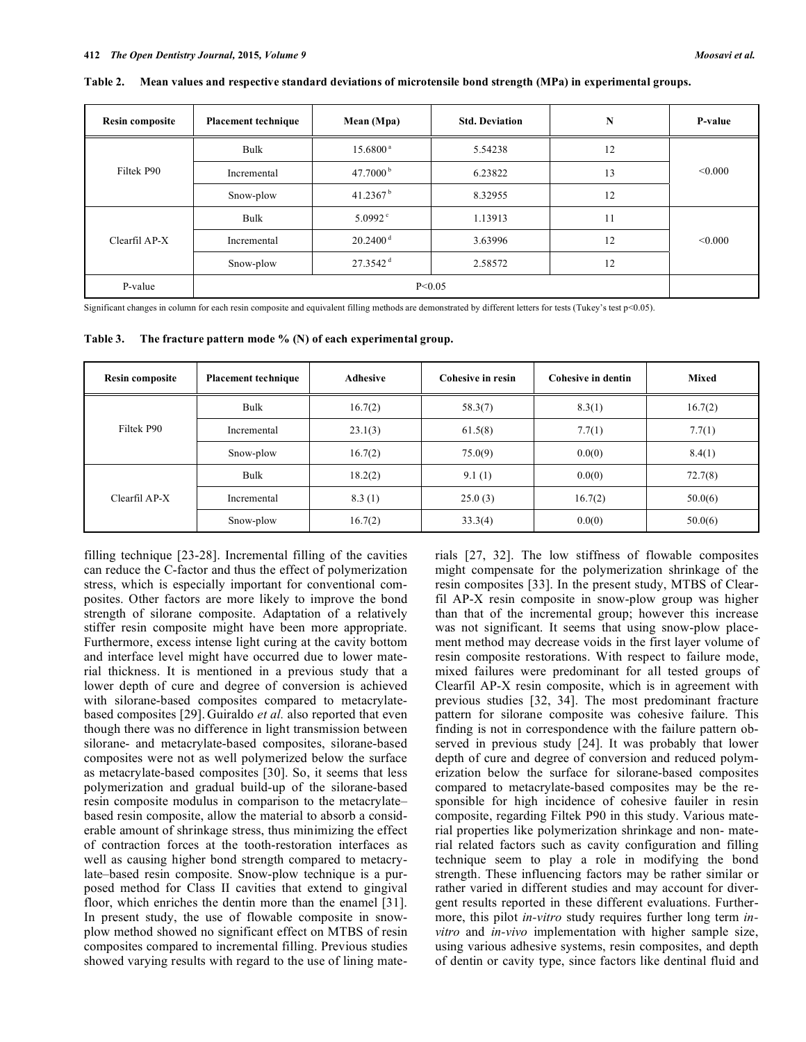| <b>Resin composite</b> | <b>Placement technique</b> | Mean (Mpa)             | <b>Std. Deviation</b> | N  | <b>P-value</b> |
|------------------------|----------------------------|------------------------|-----------------------|----|----------------|
| Filtek P90             | Bulk                       | $15.6800^{\text{ a}}$  | 5.54238               | 12 | < 0.000        |
|                        | Incremental                | 47.7000 $^{\rm b}$     | 6.23822               | 13 |                |
|                        | Snow-plow                  | 41.2367 <sup>b</sup>   | 8.32955               | 12 |                |
| Clearfil AP-X          | Bulk                       | $5.0992$ °             | 1.13913               | 11 | < 0.000        |
|                        | Incremental                | $20.2400$ <sup>d</sup> | 3.63996               | 12 |                |
|                        | Snow-plow                  | $27.3542$ <sup>d</sup> | 2.58572               | 12 |                |
| P-value                | P < 0.05                   |                        |                       |    |                |

**Table 2. Mean values and respective standard deviations of microtensile bond strength (MPa) in experimental groups.** 

Significant changes in column for each resin composite and equivalent filling methods are demonstrated by different letters for tests (Tukey's test p<0.05).

**Table 3. The fracture pattern mode % (N) of each experimental group.** 

| <b>Resin composite</b> | <b>Placement technique</b> | <b>Adhesive</b> | Cohesive in resin | Cohesive in dentin | <b>Mixed</b> |
|------------------------|----------------------------|-----------------|-------------------|--------------------|--------------|
| Filtek P90             | Bulk                       | 16.7(2)         | 58.3(7)           | 8.3(1)             | 16.7(2)      |
|                        | Incremental                | 23.1(3)         | 61.5(8)           | 7.7(1)             | 7.7(1)       |
|                        | Snow-plow                  | 16.7(2)         | 75.0(9)           | 0.0(0)             | 8.4(1)       |
| Clearfil AP-X          | Bulk                       | 18.2(2)         | 9.1(1)            | 0.0(0)             | 72.7(8)      |
|                        | Incremental                | 8.3(1)          | 25.0(3)           | 16.7(2)            | 50.0(6)      |
|                        | Snow-plow                  | 16.7(2)         | 33.3(4)           | 0.0(0)             | 50.0(6)      |

filling technique [23-28]. Incremental filling of the cavities can reduce the C-factor and thus the effect of polymerization stress, which is especially important for conventional composites. Other factors are more likely to improve the bond strength of silorane composite. Adaptation of a relatively stiffer resin composite might have been more appropriate. Furthermore, excess intense light curing at the cavity bottom and interface level might have occurred due to lower material thickness. It is mentioned in a previous study that a lower depth of cure and degree of conversion is achieved with silorane-based composites compared to metacrylatebased composites [29]. Guiraldo *et al.* also reported that even though there was no difference in light transmission between silorane- and metacrylate-based composites, silorane-based composites were not as well polymerized below the surface as metacrylate-based composites [30]. So, it seems that less polymerization and gradual build-up of the silorane-based resin composite modulus in comparison to the metacrylate– based resin composite, allow the material to absorb a considerable amount of shrinkage stress, thus minimizing the effect of contraction forces at the tooth-restoration interfaces as well as causing higher bond strength compared to metacrylate–based resin composite. Snow-plow technique is a purposed method for Class II cavities that extend to gingival floor, which enriches the dentin more than the enamel [31]. In present study, the use of flowable composite in snowplow method showed no significant effect on MTBS of resin composites compared to incremental filling. Previous studies showed varying results with regard to the use of lining materials [27, 32]. The low stiffness of flowable composites might compensate for the polymerization shrinkage of the resin composites [33]. In the present study, MTBS of Clearfil AP-X resin composite in snow-plow group was higher than that of the incremental group; however this increase was not significant. It seems that using snow-plow placement method may decrease voids in the first layer volume of resin composite restorations. With respect to failure mode, mixed failures were predominant for all tested groups of Clearfil AP-X resin composite, which is in agreement with previous studies [32, 34]. The most predominant fracture pattern for silorane composite was cohesive failure. This finding is not in correspondence with the failure pattern observed in previous study [24]. It was probably that lower depth of cure and degree of conversion and reduced polymerization below the surface for silorane-based composites compared to metacrylate-based composites may be the responsible for high incidence of cohesive fauiler in resin composite, regarding Filtek P90 in this study. Various material properties like polymerization shrinkage and non- material related factors such as cavity configuration and filling technique seem to play a role in modifying the bond strength. These influencing factors may be rather similar or rather varied in different studies and may account for divergent results reported in these different evaluations. Furthermore, this pilot *in-vitro* study requires further long term *invitro* and *in-vivo* implementation with higher sample size, using various adhesive systems, resin composites, and depth of dentin or cavity type, since factors like dentinal fluid and